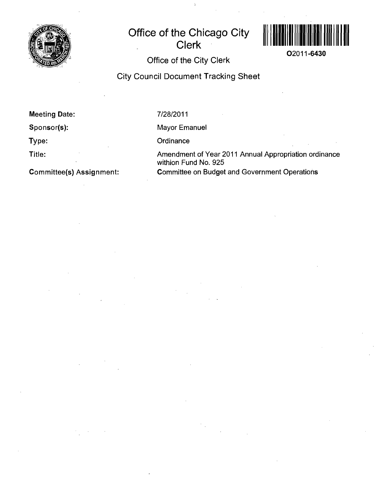

# **Office of the Chicago City Clerk**



**02011-6430** 

**Office of the City Clerk** 

**City Council Document Tracking Sheet** 

**Meeting Date:** 

**Sponsor(s):** 

**Type:** 

**Title:** 

**Committee(s) Assignment:** 

7/28/2011

Mayor Emanuel

**Ordinance** 

Amendment of Year 2011 Annual Appropriation ordinance withion Fund No. 925 Committee on Budget and Government Operations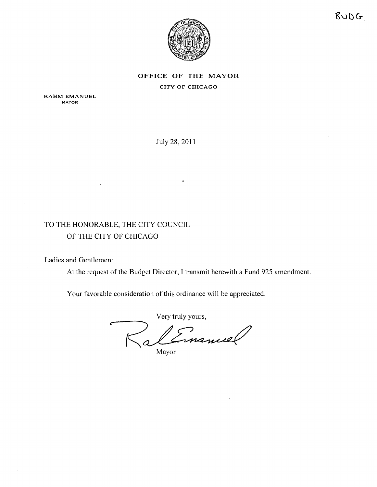



### **OFFICE OF THE MAYOR** CITY OF CHICAGO

RAHM EMANUEL **MAYOR** 

July 28, 2011

## TO THE HONORABLE, THE CITY COUNCIL OF THE CITY OF CHICAGO

Ladies and Gentlemen:

At the request of the Budget Director, I transmit herewith a Fund 925 amendment.

Your favorable consideration of this ordinance will be appreciated.

Very truly yours Cinamier

Mayor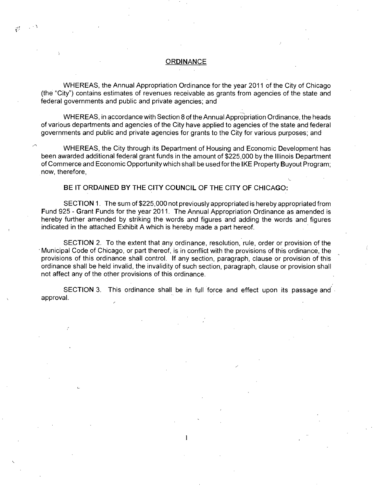#### **ORDINANCE**

 $\mathbb{R}^d$ 

WHEREAS, the Annual Appropriation Ordinance for the year 2011 of the City of Chicago (the "City") contains estimates of revenues receivable as grants from agencies of the state and federal governments and public and private agencies; and

WHEREAS, in accordance with Section 8 of the Annual Appropriation Ordinance, the heads of various departments and agencies of the City have applied to agencies of the state and federal governments and public and private agencies for grants to the City for various purposes; and

WHEREAS, the City through its Department of Housing and Economic Development has been awarded additional federal grant funds in the amount of \$225,000 by the Illinois Department of Commerce and Economic Opportunity which shall be used forthe IKE Property Buyout Program; now, therefore,

#### **BE IT ORDAINED BY THE CITY COUNCIL OF THE CITY OF CHICAGO:**

SECTION 1. The sum of \$225,000 not previously appropriated is hereby appropriated from Fund 925 - Grant Funds for the year 2011. The Annual Appropriation Ordinance as amended is hereby further amended by striking the words and figures and adding the words and figures indicated in the attached Exhibit A which is hereby made a part hereof

SECTION 2. To the extent that any ordinance, resolution, rule, order or provision of the • Municipal Code of Chicago, or part thereof is in conflict with the provisions of this ordinance, the provisions of this ordinance shall control. If any section, paragraph, clause or provision of this ordinance shall be held invalid, the invalidity of such section, paragraph, clause or provision shall not affect any of the other provisions of this ordinance.

SECTION 3. This ordinance shall be in full force and effect upon its passage and approval.